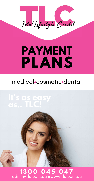Total Lifestyle Credit

# PAYMENT PLANS

# medical cosmetic dental

# It's as easy



# 1300 045 047<br>adminetlc.com.auowww.tlc.com.au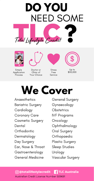









Simple Application Process

Doctor or Clinic of **Your Choice** 

**Stress** Free Service

Up to \$50,000

# We Cover

Anaesthetics **Bariatric Surgery** Cardiology **Coronary Care Cosmetic Surgery** Dental Orthodontic Dermatology Day Surgery Ear, Nose & Throat Gastroenterology **General Medicine** 

**General Surgery** Gynaecology **Obstetrics IVF Programs** Oncology Ophthalmology **Oral Surgery** Orthopaedic **Plastic Surgery Sleep Studies** Urology **Vascular Surgery** 

### O @totallifestylecredit [1] TLC Australia

#### Australian Credit License Number 509691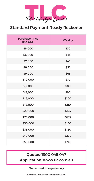

### Standard Payment Ready Reckoner

### Quotes: 1300 045 047 Application: www.tlc.com.au

\*To be used as a guide only

#### Australian Credit License number 509691

| <b>Purchase Price</b><br>(inc GST) | Weekly       |
|------------------------------------|--------------|
| \$5,000                            | \$30         |
| \$6,000                            | \$35         |
| \$7,000                            | \$45         |
| \$8,000                            | \$55         |
| \$9,000                            | \$65         |
| \$10,000                           | <b>\$70</b>  |
| \$12,000                           | \$80         |
| \$14,000                           | \$90         |
| \$16,000                           | \$100        |
| \$18,000                           | <b>\$110</b> |
| \$20,000                           | \$125        |
| \$25,000                           | \$135        |
| \$30,000                           | \$160        |
| \$35,000                           | \$180        |
| \$40,000                           | \$220        |
| \$50,000                           | \$245        |